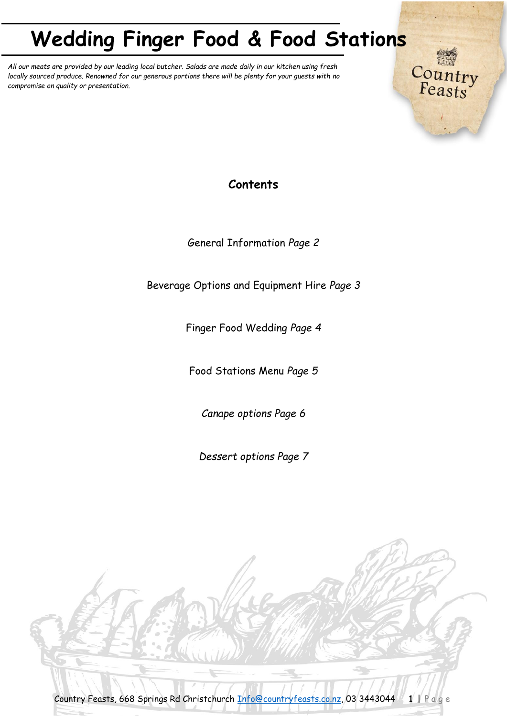*All our meats are provided by our leading local butcher. Salads are made daily in our kitchen using fresh locally sourced produce. Renowned for our generous portions there will be plenty for your guests with no compromise on quality or presentation.*

**Contents**

Country<br>Feasts

General Information *Page 2*

Beverage Options and Equipment Hire *Page 3*

Finger Food Wedding *Page 4*

Food Stations Menu *Page 5*

*Canape options Page 6*

*Dessert options Page 7*

Country Feasts, 668 Springs Rd Christchurch [Info@countryfeasts.co.nz,](mailto:Info@countryfeasts.co.nz) 03 3443044 **1** | P a g e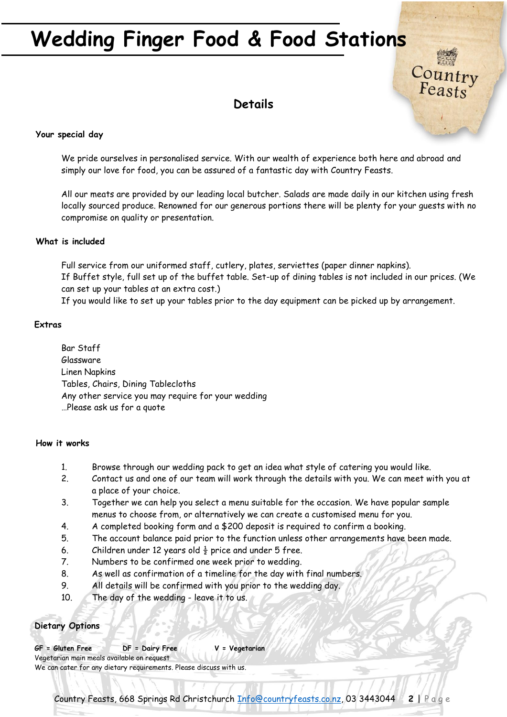## **Details**

Country<br>Feasts

### **Your special day**

We pride ourselves in personalised service. With our wealth of experience both here and abroad and simply our love for food, you can be assured of a fantastic day with Country Feasts.

All our meats are provided by our leading local butcher. Salads are made daily in our kitchen using fresh locally sourced produce. Renowned for our generous portions there will be plenty for your guests with no compromise on quality or presentation.

### **What is included**

Full service from our uniformed staff, cutlery, plates, serviettes (paper dinner napkins). If Buffet style, full set up of the buffet table. Set-up of dining tables is not included in our prices. (We can set up your tables at an extra cost.)

If you would like to set up your tables prior to the day equipment can be picked up by arrangement.

### **Extras**

Bar Staff Glassware Linen Napkins Tables, Chairs, Dining Tablecloths Any other service you may require for your wedding …Please ask us for a quote

### **How it works**

- 1. Browse through our wedding pack to get an idea what style of catering you would like.
- 2. Contact us and one of our team will work through the details with you. We can meet with you at a place of your choice.
- 3. Together we can help you select a menu suitable for the occasion. We have popular sample menus to choose from, or alternatively we can create a customised menu for you.
- 4. A completed booking form and a \$200 deposit is required to confirm a booking.
- 5. The account balance paid prior to the function unless other arrangements have been made.
- 6. Children under 12 years old  $\frac{1}{2}$  price and under 5 free.
- 7. Numbers to be confirmed one week prior to wedding.
- 8. As well as confirmation of a timeline for the day with final numbers.
- 9. All details will be confirmed with you prior to the wedding day.
- 10. The day of the wedding leave it to us.

### **Dietary Options**

**GF = Gluten Free DF = Dairy Free V = Vegetarian** Vegetarian main meals available on request We can cater for any dietary requirements. Please discuss with us.

Country Feasts, 668 Springs Rd Christchurch [Info@countryfeasts.co.nz,](mailto:Info@countryfeasts.co.nz) 03 3443044 **2** | P a g e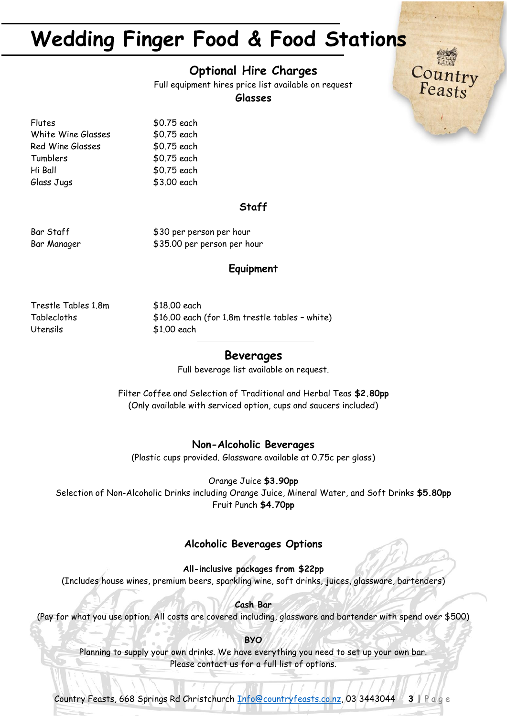### **Optional Hire Charges**

Full equipment hires price list available on request

Country<br>Feasts

### **Glasses**

Flutes \$0.75 each White Wine Glasses \$0.75 each Red Wine Glasses \$0.75 each Tumblers \$0.75 each Hi Ball \$0.75 each Glass Jugs \$3.00 each

### **Staff**

Bar Staff  $$30$  per person per hour Bar Manager  $$35.00$  per person per hour

### **Equipment**

Trestle Tables 1.8m \$18.00 each Utensils \$1.00 each

Tablecloths \$16.00 each (for 1.8m trestle tables – white)

### **Beverages**

Full beverage list available on request.

Filter Coffee and Selection of Traditional and Herbal Teas **\$2.80pp** (Only available with serviced option, cups and saucers included)

### **Non-Alcoholic Beverages**

(Plastic cups provided. Glassware available at 0.75c per glass)

Orange Juice **\$3.90pp**

Selection of Non-Alcoholic Drinks including Orange Juice, Mineral Water, and Soft Drinks **\$5.80pp** Fruit Punch **\$4.70pp**

### **Alcoholic Beverages Options**

**All-inclusive packages from \$22pp** (Includes house wines, premium beers, sparkling wine, soft drinks, juices, glassware, bartenders)

**Cash Bar** (Pay for what you use option. All costs are covered including, glassware and bartender with spend over \$500)

**BYO**

Planning to supply your own drinks. We have everything you need to set up your own bar. Please contact us for a full list of options.

Country Feasts, 668 Springs Rd Christchurch [Info@countryfeasts.co.nz,](mailto:Info@countryfeasts.co.nz) 03 3443044 **3** | P a g e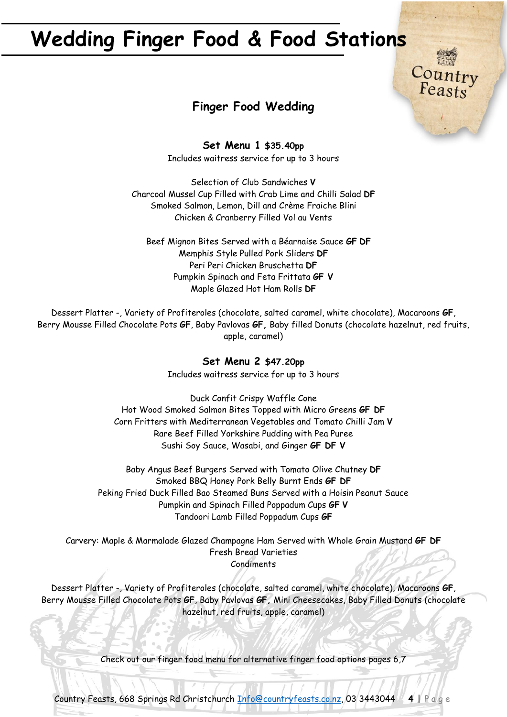

Country<br>Feasts

**Set Menu 1 \$35.40pp** Includes waitress service for up to 3 hours

Selection of Club Sandwiches **V** Charcoal Mussel Cup Filled with Crab Lime and Chilli Salad **DF** Smoked Salmon, Lemon, Dill and Crème Fraiche Blini Chicken & Cranberry Filled Vol au Vents

Beef Mignon Bites Served with a Béarnaise Sauce **GF DF** Memphis Style Pulled Pork Sliders **DF** Peri Peri Chicken Bruschetta **DF** Pumpkin Spinach and Feta Frittata **GF V** Maple Glazed Hot Ham Rolls **DF**

Dessert Platter -, Variety of Profiteroles (chocolate, salted caramel, white chocolate), Macaroons **GF**, Berry Mousse Filled Chocolate Pots **GF**, Baby Pavlovas **GF,** Baby filled Donuts (chocolate hazelnut, red fruits, apple, caramel)

## **Set Menu 2 \$47.20pp**

Includes waitress service for up to 3 hours

Duck Confit Crispy Waffle Cone Hot Wood Smoked Salmon Bites Topped with Micro Greens **GF DF** Corn Fritters with Mediterranean Vegetables and Tomato Chilli Jam **V** Rare Beef Filled Yorkshire Pudding with Pea Puree Sushi Soy Sauce, Wasabi, and Ginger **GF DF V**

Baby Angus Beef Burgers Served with Tomato Olive Chutney **DF** Smoked BBQ Honey Pork Belly Burnt Ends **GF DF** Peking Fried Duck Filled Bao Steamed Buns Served with a Hoisin Peanut Sauce Pumpkin and Spinach Filled Poppadum Cups **GF V** Tandoori Lamb Filled Poppadum Cups **GF**

Carvery: Maple & Marmalade Glazed Champagne Ham Served with Whole Grain Mustard **GF DF** Fresh Bread Varieties Condiments

Dessert Platter -, Variety of Profiteroles (chocolate, salted caramel, white chocolate), Macaroons **GF**, Berry Mousse Filled Chocolate Pots **GF**, Baby Pavlovas **GF,** Mini Cheesecakes, Baby Filled Donuts (chocolate hazelnut, red fruits, apple, caramel)

Check out our finger food menu for alternative finger food options pages 6,7

Country Feasts, 668 Springs Rd Christchurch [Info@countryfeasts.co.nz,](mailto:Info@countryfeasts.co.nz) 03 3443044 **4** | P a g e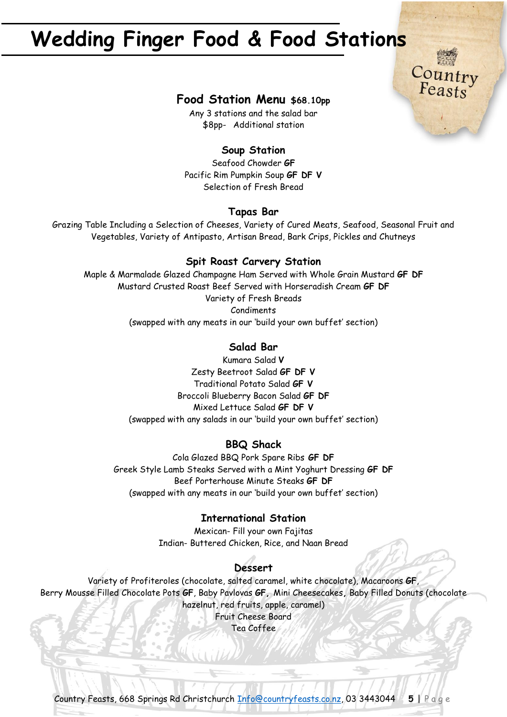

Country<br>Feasts

Any 3 stations and the salad bar \$8pp- Additional station

### **Soup Station**

Seafood Chowder **GF**  Pacific Rim Pumpkin Soup **GF DF V** Selection of Fresh Bread

### **Tapas Bar**

Grazing Table Including a Selection of Cheeses, Variety of Cured Meats, Seafood, Seasonal Fruit and Vegetables, Variety of Antipasto, Artisan Bread, Bark Crips, Pickles and Chutneys

### **Spit Roast Carvery Station**

Maple & Marmalade Glazed Champagne Ham Served with Whole Grain Mustard **GF DF** Mustard Crusted Roast Beef Served with Horseradish Cream **GF DF** Variety of Fresh Breads Condiments (swapped with any meats in our 'build your own buffet' section)

### **Salad Bar**

Kumara Salad **V** Zesty Beetroot Salad **GF DF V** Traditional Potato Salad **GF V** Broccoli Blueberry Bacon Salad **GF DF** Mixed Lettuce Salad **GF DF V** (swapped with any salads in our 'build your own buffet' section)

### **BBQ Shack**

Cola Glazed BBQ Pork Spare Ribs **GF DF** Greek Style Lamb Steaks Served with a Mint Yoghurt Dressing **GF DF** Beef Porterhouse Minute Steaks **GF DF** (swapped with any meats in our 'build your own buffet' section)

### **International Station**

Mexican- Fill your own Fajitas Indian- Buttered Chicken, Rice, and Naan Bread

### **Dessert**

Variety of Profiteroles (chocolate, salted caramel, white chocolate), Macaroons **GF**, Berry Mousse Filled Chocolate Pots **GF**, Baby Pavlovas **GF,** Mini Cheesecakes**,** Baby Filled Donuts (chocolate hazelnut, red fruits, apple, caramel) Fruit Cheese Board

Tea Coffee

Country Feasts, 668 Springs Rd Christchurch [Info@countryfeasts.co.nz,](mailto:Info@countryfeasts.co.nz) 03 3443044 **5** | P a g e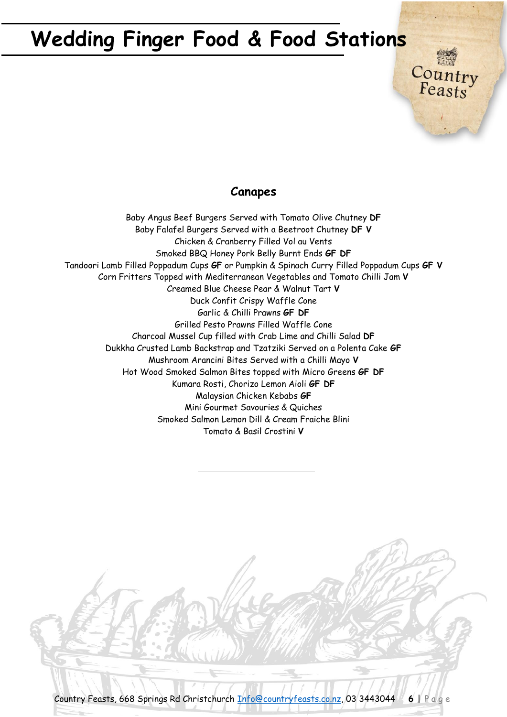### **Canapes**

Country<br>Feasts

Baby Angus Beef Burgers Served with Tomato Olive Chutney **DF** Baby Falafel Burgers Served with a Beetroot Chutney **DF V** Chicken & Cranberry Filled Vol au Vents Smoked BBQ Honey Pork Belly Burnt Ends **GF DF** Tandoori Lamb Filled Poppadum Cups **GF** or Pumpkin & Spinach Curry Filled Poppadum Cups **GF V** Corn Fritters Topped with Mediterranean Vegetables and Tomato Chilli Jam **V** Creamed Blue Cheese Pear & Walnut Tart **V** Duck Confit Crispy Waffle Cone Garlic & Chilli Prawns **GF DF** Grilled Pesto Prawns Filled Waffle Cone Charcoal Mussel Cup filled with Crab Lime and Chilli Salad **DF** Dukkha Crusted Lamb Backstrap and Tzatziki Served on a Polenta Cake **GF** Mushroom Arancini Bites Served with a Chilli Mayo **V** Hot Wood Smoked Salmon Bites topped with Micro Greens **GF DF** Kumara Rosti, Chorizo Lemon Aioli **GF DF** Malaysian Chicken Kebabs **GF** Mini Gourmet Savouries & Quiches Smoked Salmon Lemon Dill & Cream Fraiche Blini Tomato & Basil Crostini **V**

Country Feasts, 668 Springs Rd Christchurch [Info@countryfeasts.co.nz,](mailto:Info@countryfeasts.co.nz) 03 3443044 **6** | P a g e